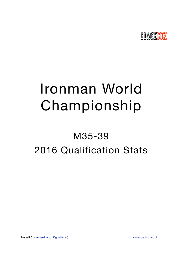

# Ironman World Championship

## M35-39 2016 Qualification Stats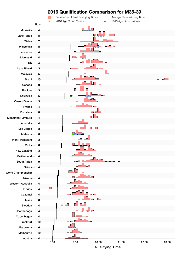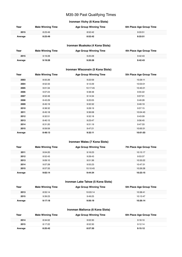## M35-39 Past Qualifying Times

## **Ironman Vichy (6 Kona Slots)**

| Year    | <b>Male Winning Time</b> | <b>Age Group Winning Time</b> | 6th Place Age Group Time |
|---------|--------------------------|-------------------------------|--------------------------|
| 2015    | 8:23:49                  | 8:52:42                       | 9:33:51                  |
| Average | 8:23:49                  | 8:52:42                       | 9:33:51                  |

## **Ironman Muskoka (4 Kona Slots)**

| Year    | <b>Male Winning Time</b> | <b>Age Group Winning Time</b> | 4th Place Age Group Time |
|---------|--------------------------|-------------------------------|--------------------------|
| 2015    | 9:19:28                  | 9:20:28                       | 9:42:43                  |
| Average | 9:19:28                  | 9:20:28                       | 9:42:43                  |

## **Ironman Wisconsin (5 Kona Slots)**

| Year    | <b>Male Winning Time</b> | <b>Age Group Winning Time</b> | 5th Place Age Group Time |
|---------|--------------------------|-------------------------------|--------------------------|
| 2003    | 8:55:26                  | 9:22:59                       | 10:29:11                 |
| 2004    | 8:52:33                  | 9:12:29                       | 10:03:01                 |
| 2005    | 9:01:34                  | 10:17:45                      | 10:40:21                 |
| 2006    | 9:07:24                  | 9:38:48                       | 9:55:22                  |
| 2007    | 8:52:49                  | 9:14:34                       | 9:57:01                  |
| 2008    | 8:43:29                  | 9:20:05                       | 9:49:28                  |
| 2009    | 8:45:19                  | 9:32:32                       | 9:49:19                  |
| 2010    | 8:38:32                  | 9:28:19                       | 9:57:15                  |
| 2011    | 8:45:18                  | 9:36:08                       | 10:04:43                 |
| 2012    | 8:32:51                  | 9:32:18                       | 9:43:09                  |
| 2013    | 8:40:15                  | 9:23:47                       | 9:56:45                  |
| 2014    | 8:31:20                  | 9:31:19                       | 9:47:33                  |
| 2015    | 8:59:59                  | 9:47:21                       | 10:00:31                 |
| Average | 8:48:13                  | 9:32:11                       | 10:01:03                 |

## **Ironman Wales (7 Kona Slots)**

| Year    | <b>Male Winning Time</b> | <b>Age Group Winning Time</b> | 7th Place Age Group Time |
|---------|--------------------------|-------------------------------|--------------------------|
| 2011    | 9:04:20                  | 9:16:23                       | 10:15:17                 |
| 2012    | 8:52:43                  | 9:28:43                       | 9:53:37                  |
| 2013    | 9:09:10                  | 9:51:36                       | 10:33:22                 |
| 2014    | 9:07:28                  | 9:55:23                       | 10:47:31                 |
| 2015    | 8:57:33                  | 10:10:45                      | 10:26:28                 |
| Average | 9:02:14                  | 9:44:34                       | 10:23:15                 |

## **Ironman Lake Tahoe (5 Kona Slots)**

| Year    | <b>Male Winning Time</b> | <b>Age Group Winning Time</b> | 5th Place Age Group Time |
|---------|--------------------------|-------------------------------|--------------------------|
| 2013    | 8:55:14                  | 10:03:14                      | 10:38:41                 |
| 2015    | 9:39:23                  | 9:49:25                       | 10:13:47                 |
| Average | 9:17:18                  | 9:56:19                       | 10:26:14                 |

## **Ironman Mallorca (6 Kona Slots)**

| Year    | <b>Male Winning Time</b> | <b>Age Group Winning Time</b> | 6th Place Age Group Time |
|---------|--------------------------|-------------------------------|--------------------------|
| 2014    | 8:34:02                  | 9:02:30                       | 9:18:10                  |
| 2015    | 8:17:22                  | 8:52:30                       | 9:12:14                  |
| Average | 8:25:42                  | 8:57:30                       | 9:15:12                  |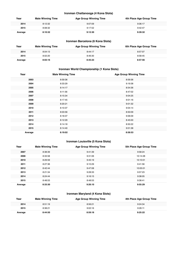## **Ironman Chattanooga (4 Kona Slots)**

| Year    | <b>Male Winning Time</b> | <b>Age Group Winning Time</b> | 4th Place Age Group Time |
|---------|--------------------------|-------------------------------|--------------------------|
| 2014    | 8:12:32                  | 9:07:09                       | 9:36:17                  |
| 2015    | 8:08:32                  | 9:17:52                       | 9:42:47                  |
| Average | 8:10:32                  | 9:12:30                       | 9:39:32                  |

## **Ironman Barcelona (6 Kona Slots)**

| Year    | <b>Male Winning Time</b> | <b>Age Group Winning Time</b> | 6th Place Age Group Time |
|---------|--------------------------|-------------------------------|--------------------------|
| 2014    | 8:04:13                  | 8:44:17                       | 8:57:07                  |
| 2015    | 8:02:20                  | 8:46:30                       | 8:58:45                  |
| Average | 8:03:16                  | 8:45:23                       | 8:57:56                  |

## **Ironman World Championship (1 Kona Slots)**

| Year    | <b>Male Winning Time</b> | <b>Age Group Winning Time</b> |
|---------|--------------------------|-------------------------------|
| 2003    | 8:59:36                  | 8:59:36                       |
| 2004    | 8:33:29                  | 9:19:38                       |
| 2005    | 8:14:17                  | 8:54:36                       |
| 2006    | 8:11:56                  | 8:47:02                       |
| 2007    | 8:15:34                  | 9:04:25                       |
| 2008    | 8:17:45                  | 9:01:16                       |
| 2009    | 8:20:21                  | 9:01:32                       |
| 2010    | 8:10:37                  | 9:04:14                       |
| 2011    | 8:03:56                  | 8:50:09                       |
| 2012    | 8:18:37                  | 9:06:09                       |
| 2013    | 8:12:29                  | 8:45:00                       |
| 2014    | 8:14:18                  | 8:50:22                       |
| 2015    | 8:14:40                  | 9:01:38                       |
| Average | 8:19:02                  | 8:58:53                       |

## **Ironman Louisville (5 Kona Slots)**

| Year    | <b>Male Winning Time</b> | <b>Age Group Winning Time</b> | 5th Place Age Group Time |
|---------|--------------------------|-------------------------------|--------------------------|
| 2007    | 8:38:39                  | 9:41:39                       | 9:58:24                  |
| 2008    | 8:33:58                  | 9:31:06                       | 10:14:28                 |
| 2010    | 8:29:59                  | 9:45:19                       | 10:10:01                 |
| 2011    | 8:27:36                  | 9:10:29                       | 9:41:56                  |
| 2012    | 8:42:44                  | 9:47:08                       | 10:05:01                 |
| 2013    | 8:21:34                  | 9:28:33                       | 9:57:23                  |
| 2014    | 8:24:44                  | 9:16:15                       | 9:38:05                  |
| 2015    | 8:48:53                  | 8:48:53                       | 9:38:41                  |
| Average | 8:33:30                  | 9:26:10                       | 9:55:29                  |

## **Ironman Maryland (4 Kona Slots)**

| Year    | <b>Male Winning Time</b> | <b>Age Group Winning Time</b> | 4th Place Age Group Time |
|---------|--------------------------|-------------------------------|--------------------------|
| 2014    | 8:51:19                  | 8:56:21                       | 9:24:34                  |
| 2015    | 8:38:21                  | 9:02:16                       | 9:26:11                  |
| Average | 8:44:50                  | 8:59:18                       | 9:25:22                  |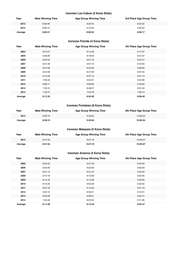## **Ironman Los Cabos (3 Kona Slots)**

| Year    | <b>Male Winning Time</b> | <b>Age Group Winning Time</b> | 3rd Place Age Group Time |
|---------|--------------------------|-------------------------------|--------------------------|
| 2013    | 8:26:48                  | 9:25:44                       | 9:52:42                  |
| 2014    | 8:26:15                  | 9:15:22                       | 9:25:53                  |
| Average | 8:26:31                  | 9:20:33                       | 9:39:17                  |

## **Ironman Florida (4 Kona Slots)**

| Year    | <b>Male Winning Time</b> | <b>Age Group Winning Time</b> | 4th Place Age Group Time |
|---------|--------------------------|-------------------------------|--------------------------|
| 2004    | 8:31:07                  | 9:12:49                       | 9:17:37                  |
| 2005    | 8:28:26                  | 9:18:29                       | 9:31:07                  |
| 2006    | 8:22:44                  | 9:07:16                       | 9:27:51                  |
| 2007    | 8:21:29                  | 9:07:14                       | 9:19:45                  |
| 2008    | 8:07:59                  | 8:53:30                       | 9:09:56                  |
| 2009    | 8:24:29                  | 8:47:23                       | 9:07:42                  |
| 2010    | 8:15:59                  | 8:37:10                       | 9:01:13                  |
| 2011    | 7:59:42                  | 9:04:01                       | 9:23:38                  |
| 2012    | 8:06:17                  | 9:08:36                       | 9:18:52                  |
| 2013    | 7:53:12                  | 8:48:57                       | 9:01:03                  |
| 2014    | 7:33:47                  | 7:53:16                       | 7:58:14                  |
| Average | 8:11:22                  | 8:54:25                       | 9:08:48                  |

## **Ironman Fortaleza (8 Kona Slots)**

| Year    | <b>Male Winning Time</b> | <b>Age Group Winning Time</b> | 8th Place Age Group Time |
|---------|--------------------------|-------------------------------|--------------------------|
| 2014    | 8:30:15                  | 9:45:04                       | 10:05:54                 |
| Average | 8:30:15                  | 9:45:04                       | 10:05:54                 |

## **Ironman Malaysia (5 Kona Slots)**

| Year    | <b>Male Winning Time</b> | <b>Age Group Winning Time</b> | 5th Place Age Group Time |
|---------|--------------------------|-------------------------------|--------------------------|
| 2014    | 8:41:53                  | 9:27:16                       | 10:25:07                 |
| Average | 8:41:53                  | 9:27:16                       | 10:25:07                 |

## **Ironman Arizona (4 Kona Slots)**

| Year    | <b>Male Winning Time</b> | <b>Age Group Winning Time</b> | 4th Place Age Group Time |
|---------|--------------------------|-------------------------------|--------------------------|
| 2005    | 8:25:42                  | 9:31:40                       | 9:45:49                  |
| 2006    | 8:20:56                  | 9:22:56                       | 9:35:30                  |
| 2007    | 8:21:14                  | 9:31:37                       | 9:43:42                  |
| 2008    | 8:14:16                  | 9:15:28                       | 9:23:05                  |
| 2009    | 8:14:16                  | 9:15:28                       | 9:23:05                  |
| 2010    | 8:13:35                  | 9:02:30                       | 9:22:52                  |
| 2011    | 8:07:16                  | 9:14:03                       | 9:21:19                  |
| 2012    | 8:03:13                  | 8:50:21                       | 9:10:51                  |
| 2013    | 8:02:00                  | 9:08:51                       | 9:20:15                  |
| 2014    | 7:55:48                  | 8:52:52                       | 9:11:26                  |
| Average | 8:11:49                  | 9:12:34                       | 9:25:47                  |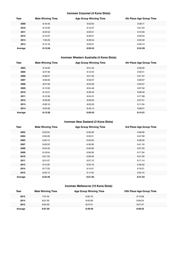## **Ironman Cozumel (4 Kona Slots)**

| Year    | <b>Male Winning Time</b> | <b>Age Group Winning Time</b> | 4th Place Age Group Time |
|---------|--------------------------|-------------------------------|--------------------------|
| 2009    | 8:18:40                  | 9:03:05                       | 9:39:11                  |
| 2010    | 8:12:20                  | 9:10:47                       | 9:21:24                  |
| 2011    | 8:23:52                  | 9:05:01                       | 9:10:55                  |
| 2012    | 8:15:07                  | 8:59:01                       | 9:30:22                  |
| 2013    | 7:55:23                  | 8:39:34                       | 8:55:52                  |
| 2014    | 8:12:16                  | 9:00:51                       | 9:49:14                  |
| Average | 8:12:56                  | 8:59:43                       | 9:24:29                  |

## **Ironman Western Australia (4 Kona Slots)**

| Year    | <b>Male Winning Time</b> | <b>Age Group Winning Time</b> | 4th Place Age Group Time |
|---------|--------------------------|-------------------------------|--------------------------|
| 2004    | 8:16:00                  | 9:01:43                       | 9:26:05                  |
| 2005    | 8:27:36                  | 9:12:24                       | 9:30:41                  |
| 2006    | 8:08:57                  | 9:01:35                       | 9:21:27                  |
| 2007    | 8:06:00                  | 8:59:37                       | 9:08:07                  |
| 2008    | 8:07:06                  | 8:53:26                       | 9:03:57                  |
| 2009    | 8:13:59                  | 8:54:48                       | 9:07:30                  |
| 2010    | 8:14:01                  | 8:39:43                       | 8:58:40                  |
| 2011    | 8:12:39                  | 9:04:31                       | 9:17:08                  |
| 2012    | 8:29:06                  | 8:56:35                       | 9:27:01                  |
| 2013    | 8:08:16                  | 8:50:20                       | 9:11:04                  |
| 2014    | 8:05:58                  | 8:49:14                       | 9:08:01                  |
| Average | 8:13:36                  | 8:56:43                       | 9:14:31                  |

## **Ironman New Zealand (3 Kona Slots)**

| Year    | <b>Male Winning Time</b> | <b>Age Group Winning Time</b> | 3rd Place Age Group Time |
|---------|--------------------------|-------------------------------|--------------------------|
| 2003    | 8:22:04                  | 9:36:39                       | 9:48:09                  |
| 2004    | 8:30:29                  | 9:20:51                       | 9:47:09                  |
| 2005    | 8:20:14                  | 9:35:23                       | 9:38:20                  |
| 2007    | 8:26:33                  | 9:39:26                       | 9:41:16                  |
| 2008    | 8:24:49                  | 9:20:06                       | 9:27:33                  |
| 2009    | 8:18:04                  | 9:09:26                       | 9:17:34                  |
| 2010    | 8:21:52                  | 9:06:40                       | 9:21:00                  |
| 2011    | 8:31:07                  | 9:07:10                       | 9:17:14                  |
| 2013    | 8:15:35                  | 9:34:16                       | 9:46:22                  |
| 2014    | 8:17:33                  | 9:14:41                       | 9:16:21                  |
| 2015    | 8:22:13                  | 9:11:55                       | 9:24:15                  |
| Average | 8:22:46                  | 9:21:30                       | 9:31:23                  |

## **Ironman Melbourne (10 Kona Slots)**

| Year    | <b>Male Winning Time</b> | <b>Age Group Winning Time</b> | 10th Place Age Group Time |
|---------|--------------------------|-------------------------------|---------------------------|
| 2012    | 7:57:44                  | 8:50:19                       | 9:13:58                   |
| 2014    | 8:01:02                  | 8:42:09                       | 9:06:24                   |
| 2015    | 8:04:29                  | 8:57:01                       | 9:07:47                   |
| Average | 8:01:05                  | 8:49:49                       | 9:09:23                   |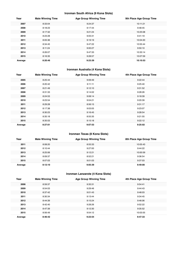## **Ironman South Africa (9 Kona Slots)**

| Year    | <b>Male Winning Time</b> | <b>Age Group Winning Time</b> | 9th Place Age Group Time |
|---------|--------------------------|-------------------------------|--------------------------|
| 2007    | 8:33:04                  | 9:24:37                       | 10:11:21                 |
| 2008    | 8:18:23                  | 9:17:44                       | 9:48:45                  |
| 2009    | 8:17:32                  | 9:21:24                       | 10:25:08                 |
| 2010    | 8:23:28                  | 9:05:31                       | 9:41:19                  |
| 2011    | 8:05:36                  | 9:19:19                       | 10:04:20                 |
| 2012    | 8:34:45                  | 9:47:22                       | 10:55:44                 |
| 2013    | 8:11:24                  | 9:00:27                       | 9:50:10                  |
| 2014    | 8:26:07                  | 9:47:33                       | 10:33:14                 |
| 2015    | 8:16:35                  | 9:28:57                       | 10:07:59                 |
| Average | 8:20:46                  | 9:23:39                       | 10:10:53                 |

## **Ironman Australia (4 Kona Slots)**

| Year    | <b>Male Winning Time</b> | <b>Age Group Winning Time</b> | 4th Place Age Group Time |
|---------|--------------------------|-------------------------------|--------------------------|
| 2005    | 8:25:44                  | 9:09:49                       | 9:22:44                  |
| 2006    | 8:20:42                  | 9:11:11                       | 9:25:40                  |
| 2007    | 8:21:49                  | 9:12:10                       | 9:31:52                  |
| 2008    | 8:31:33                  | 9:14:02                       | 9:28:26                  |
| 2009    | 8:24:53                  | 9:08:14                       | 9:18:39                  |
| 2010    | 8:23:54                  | 9:04:21                       | 9:20:39                  |
| 2011    | 8:29:28                  | 8:56:15                       | 9:31:17                  |
| 2012    | 8:17:38                  | 9:03:05                       | 9:23:07                  |
| 2013    | 8:30:23                  | 9:16:45                       | 9:28:54                  |
| 2014    | 8:35:18                  | 8:55:35                       | 9:21:55                  |
| 2015    | 8:35:53                  | 9:15:18                       | 9:22:12                  |
| Average | 8:27:01                  | 9:07:53                       | 9:25:02                  |

## **Ironman Texas (8 Kona Slots)**

| Year    | <b>Male Winning Time</b> | <b>Age Group Winning Time</b> | 8th Place Age Group Time |
|---------|--------------------------|-------------------------------|--------------------------|
| 2011    | 8:08:20                  | 8:55:33                       | 10:05:43                 |
| 2012    | 8:10:44                  | 9:27:00                       | 9:44:22                  |
| 2013    | 8:25:06                  | 9:12:21                       | 10:00:59                 |
| 2014    | 8:09:37                  | 8:52:21                       | 9:36:54                  |
| 2015    | 8:07:03                  | 9:01:03                       | 9:37:03                  |
| Average | 8:12:10                  | 9:05:39                       | 9:49:00                  |

## **Ironman Lanzarote (4 Kona Slots)**

| Year    | <b>Male Winning Time</b> | <b>Age Group Winning Time</b> | 4th Place Age Group Time |
|---------|--------------------------|-------------------------------|--------------------------|
| 2008    | 8:59:37                  | 9:35:31                       | 9:54:41                  |
| 2009    | 8:54:03                  | 9:29:46                       | 9:44:43                  |
| 2010    | 8:37:42                  | 9:01:43                       | 9:48:03                  |
| 2011    | 8:30:34                  | 9:13:44                       | 9:34:45                  |
| 2012    | 8:44:39                  | 9:15:24                       | 9:46:06                  |
| 2013    | 8:42:40                  | 9:28:26                       | 9:52:22                  |
| 2014    | 8:47:39                  | 9:12:30                       | 9:35:52                  |
| 2015    | 8:56:49                  | 9:54:12                       | 10:03:55                 |
| Average | 8:46:42                  | 9:23:54                       | 9:47:33                  |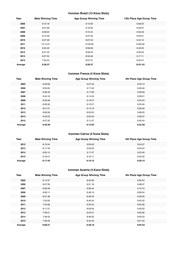## **Ironman Brazil (13 Kona Slots)**

| Year    | <b>Male Winning Time</b> | <b>Age Group Winning Time</b> | 13th Place Age Group Time |
|---------|--------------------------|-------------------------------|---------------------------|
| 2006    | 8:15:18                  | 9:15:59                       | 9:58:34                   |
| 2007    | 8:21:09                  | 9:16:50                       | 9:46:57                   |
| 2008    | 8:28:24                  | 9:10:44                       | 9:53:23                   |
| 2009    | 8:13:39                  | 9:27:33                       | 9:59:21                   |
| 2010    | 8:07:39                  | 9:07:40                       | 9:44:12                   |
| 2011    | 12:14:21                 | 12:35:59                      | 13:00:50                  |
| 2012    | 8:22:40                  | 8:58:58                       | 9:40:25                   |
| 2013    | 8:01:32                  | 8:59:23                       | 9:33:22                   |
| 2014    | 8:07:52                  | 8:55:46                       | 9:17:11                   |
| 2015    | 7:53:44                  | 8:57:21                       | 9:22:47                   |
| Average | 8:36:37                  | 9:28:37                       | 10:01:42                  |

## **Ironman France (4 Kona Slots)**

| Year    | <b>Male Winning Time</b> | <b>Age Group Winning Time</b> | 4th Place Age Group Time |
|---------|--------------------------|-------------------------------|--------------------------|
| 2005    | 8:49:06                  | 9:27:04                       | 9:53:13                  |
| 2006    | 8:33:55                  | 9:17:45                       | 9:49:49                  |
| 2007    | 8:38:45                  | 9:17:36                       | 9:39:59                  |
| 2008    | 8:34:18                  | 9:14:34                       | 9:29:01                  |
| 2009    | 8:30:06                  | 9:19:47                       | 9:34:24                  |
| 2011    | 8:28:30                  | 9:12:57                       | 9:23:45                  |
| 2012    | 8:21:51                  | 9:13:10                       | 9:28:49                  |
| 2013    | 8:08:59                  | 8:50:53                       | 9:08:25                  |
| 2014    | 8:33:22                  | 9:05:25                       | 9:20:07                  |
| 2015    | 8:27:32                  | 9:11:37                       | 9:35:54                  |
| Average | 8:30:38                  | 9:13:04                       | 9:32:20                  |

## **Ironman Cairns (4 Kona Slots)**

| Year    | <b>Male Winning Time</b> | <b>Age Group Winning Time</b> | 4th Place Age Group Time |
|---------|--------------------------|-------------------------------|--------------------------|
| 2012    | 8:15:04                  | 9:09:40                       | 9:34:37                  |
| 2013    | 8:17:43                  | 9:03:23                       | 9:24:54                  |
| 2014    | 8:20:15                  | 9:11:37                       | 9:22:40                  |
| 2015    | 8:18:01                  | 9:16:11                       | 9:34:52                  |
| Average | 8:17:45                  | 9:10:12                       | 9:29:15                  |

## **Ironman Austria (4 Kona Slots)**

| Year    | <b>Male Winning Time</b> | <b>Age Group Winning Time</b> | 4th Place Age Group Time |
|---------|--------------------------|-------------------------------|--------------------------|
| 2005    | 8:14:37                  | 8:45:06                       | 8:59:54                  |
| 2006    | 8:07:59                  | 8:51:18                       | 9:08:07                  |
| 2007    | 8:06:39                  | 8:56:44                       | 9:10:15                  |
| 2008    | 8:06:11                  | 8:48:19                       | 8:58:54                  |
| 2009    | 8:01:38                  | 8:49:45                       | 9:09:05                  |
| 2010    | 7:52:05                  | 8:40:34                       | 9:02:32                  |
| 2011    | 7:45:58                  | 8:33:42                       | 8:52:56                  |
| 2012    | 8:11:31                  | 8:59:34                       | 9:29:32                  |
| 2013    | 7:59:51                  | 8:54:01                       | 9:02:06                  |
| 2014    | 7:48:43                  | 8:46:35                       | 8:59:24                  |
| 2015    | 7:48:45                  | 8:45:43                       | 9:01:03                  |
| Average | 8:00:21                  | 8:48:18                       | 9:04:53                  |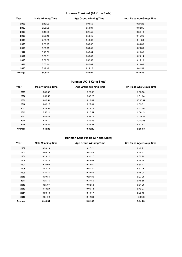## **Ironman Frankfurt (10 Kona Slots)**

| Year    | <b>Male Winning Time</b> | <b>Age Group Winning Time</b> | 10th Place Age Group Time |
|---------|--------------------------|-------------------------------|---------------------------|
| 2003    | 8:12:29                  | 9:04:59                       | 9:27:22                   |
| 2005    | 8:20:50                  | 8:54:01                       | 9:32:35                   |
| 2006    | 8:13:39                  | 9:21:55                       | 9:34:48                   |
| 2007    | 8:09:15                  | 8:50:45                       | 9:15:06                   |
| 2008    | 7:59:55                  | 8:44:06                       | 9:11:36                   |
| 2009    | 7:59:15                  | 8:38:57                       | 9:09:35                   |
| 2010    | 8:05:15                  | 8:39:55                       | 9:28:39                   |
| 2011    | 8:13:50                  | 9:06:34                       | 9:26:33                   |
| 2012    | 8:03:31                  | 9:08:30                       | 9:20:14                   |
| 2013    | 7:59:58                  | 8:52:55                       | 9:15:13                   |
| 2014    | 7:55:14                  | 8:42:04                       | 9:10:08                   |
| 2015    | 7:49:48                  | 9:14:18                       | 9:41:59                   |
| Average | 8:05:14                  | 8:56:34                       | 9:22:49                   |

## **Ironman UK (4 Kona Slots)**

| Year    | <b>Male Winning Time</b> | <b>Age Group Winning Time</b> | 4th Place Age Group Time |
|---------|--------------------------|-------------------------------|--------------------------|
| 2007    | 8:35:57                  | 9:29:08                       | 9:33:58                  |
| 2008    | 8:53:58                  | 9:43:20                       | 9:51:04                  |
| 2009    | 8:45:51                  | 9:17:42                       | 10:10:11                 |
| 2010    | 8:40:17                  | 9:22:04                       | 9:53:31                  |
| 2011    | 8:24:33                  | 9:19:17                       | 9:37:00                  |
| 2012    | 8:55:11                  | 9:15:51                       | 9:58:15                  |
| 2013    | 8:45:48                  | 9:34:19                       | 10:01:58                 |
| 2014    | 8:44:10                  | 9:49:46                       | 10:19:13                 |
| 2015    | 8:46:37                  | 9:44:33                       | 9:57:52                  |
| Average | 8:43:35                  | 9:30:40                       | 9:55:53                  |

## **Ironman Lake Placid (3 Kona Slots)**

| Year    | <b>Male Winning Time</b> | <b>Age Group Winning Time</b> | 3rd Place Age Group Time |
|---------|--------------------------|-------------------------------|--------------------------|
| 2002    | 8:39:19                  | 9:27:21                       | 9:42:21                  |
| 2003    | 8:46:15                  | 9:47:48                       | 9:54:57                  |
| 2004    | 8:23:12                  | 9:31:17                       | 9:32:29                  |
| 2006    | 8:38:18                  | 9:43:54                       | 9:54:19                  |
| 2007    | 9:16:02                  | 9:42:51                       | 9:50:17                  |
| 2008    | 8:43:32                  | 9:51:21                       | 9:52:26                  |
| 2009    | 8:36:37                  | 9:32:56                       | 9:48:04                  |
| 2010    | 8:39:34                  | 9:27:30                       | 9:37:00                  |
| 2011    | 8:25:15                  | 9:37:50                       | 9:45:55                  |
| 2012    | 8:25:07                  | 9:32:58                       | 9:51:20                  |
| 2013    | 8:43:29                  | 9:06:44                       | 9:42:07                  |
| 2014    | 8:38:43                  | 8:49:17                       | 8:58:13                  |
| 2015    | 9:31:09                  | 9:42:30                       | 10:07:38                 |
| Average | 8:43:34                  | 9:31:52                       | 9:44:23                  |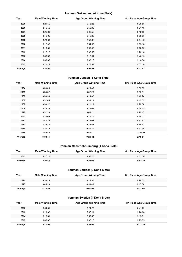## **Ironman Switzerland (4 Kona Slots)**

| Year    | <b>Male Winning Time</b> | <b>Age Group Winning Time</b> | 4th Place Age Group Time |
|---------|--------------------------|-------------------------------|--------------------------|
| 2005    | 8:21:50                  | 9:13:25                       | 9:35:58                  |
| 2006    | 8:16:50                  | 8:59:00                       | 9:21:18                  |
| 2007    | 8:25:00                  | 9:05:56                       | 9:12:29                  |
| 2008    | 8:16:05                  | 9:16:30                       | 9:28:36                  |
| 2009    | 8:20:00                  | 8:50:30                       | 9:04:42                  |
| 2010    | 8:12:40                  | 8:54:53                       | 9:05:18                  |
| 2011    | 8:19:51                  | 9:09:47                       | 9:20:32                  |
| 2012    | 8:17:13                  | 9:00:52                       | 9:22:18                  |
| 2013    | 8:33:39                  | 9:13:54                       | 9:40:15                  |
| 2014    | 8:33:02                  | 9:03:18                       | 9:10:56                  |
| 2015    | 8:21:19                  | 9:23:37                       | 9:37:18                  |
| Average | 8:21:35                  | 9:06:31                       | 9:21:47                  |

## **Ironman Canada (3 Kona Slots)**

| Year    | <b>Male Winning Time</b> | <b>Age Group Winning Time</b> | 3rd Place Age Group Time |
|---------|--------------------------|-------------------------------|--------------------------|
| 2004    | 8:28:06                  | 9:25:46                       | 9:38:35                  |
| 2005    | 8:33:32                  | 9:32:26                       | 9:50:31                  |
| 2006    | 8:33:58                  | 9:24:32                       | 9:48:24                  |
| 2007    | 8:32:45                  | 9:36:19                       | 9:42:52                  |
| 2008    | 8:30:12                  | 9:21:23                       | 9:22:08                  |
| 2009    | 8:25:13                  | 9:20:08                       | 9:38:12                  |
| 2010    | 8:32:28                  | 9:06:21                       | 9:20:47                  |
| 2011    | 8:28:09                  | 9:12:10                       | 9:39:07                  |
| 2012    | 8:48:30                  | 9:16:03                       | 9:37:57                  |
| 2013    | 8:39:33                  | 9:25:52                       | 9:38:51                  |
| 2014    | 8:16:10                  | 9:24:37                       | 9:47:30                  |
| 2015    | 8:49:46                  | 9:50:41                       | 10:05:21                 |
| Average | 8:33:11                  | 9:24:41                       | 9:40:51                  |

## **Ironman Maastricht-Limburg (4 Kona Slots)**

| Year    | <b>Male Winning Time</b> | <b>Age Group Winning Time</b> | 4th Place Age Group Time |
|---------|--------------------------|-------------------------------|--------------------------|
| 2015    | 8:27:18                  | 9:38:26                       | 9:52:30                  |
| Average | 8:27:18                  | 9:38:26                       | 9:52:30                  |

## **Ironman Boulder (3 Kona Slots)**

| Year    | <b>Male Winning Time</b> | <b>Age Group Winning Time</b> | 3rd Place Age Group Time |
|---------|--------------------------|-------------------------------|--------------------------|
| 2014    | 8:20:26                  | 9:15:30                       | 9:28:02                  |
| 2015    | 8:45:20                  | 8:58:43                       | 9:17:56                  |
| Average | 8:32:53                  | 9:07:06                       | 9:22:59                  |

## **Ironman Sweden (4 Kona Slots)**

| Year    | <b>Male Winning Time</b> | <b>Age Group Winning Time</b> | 4th Place Age Group Time |
|---------|--------------------------|-------------------------------|--------------------------|
| 2012    | 8:04:01                  | 8:24:27                       | 8:41:29                  |
| 2013    | 8:19:30                  | 9:06:11                       | 9:26:06                  |
| 2014    | 8:13:01                  | 8:57:48                       | 9:15:31                  |
| 2015    | 8:08:05                  | 9:05:15                       | 9:25:35                  |
| Average | 8:11:09                  | 8:53:25                       | 9:12:10                  |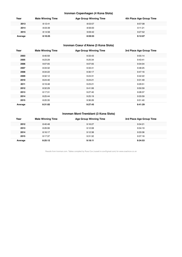## **Ironman Copenhagen (4 Kona Slots)**

| Year    | <b>Male Winning Time</b> | <b>Age Group Winning Time</b> | 4th Place Age Group Time |
|---------|--------------------------|-------------------------------|--------------------------|
| 2013    | 8:12:41                  | 8:53:57                       | 8:57:08                  |
| 2014    | 8:03:39                  | 8:56:00                       | 9:11:21                  |
| 2015    | 8:14:56                  | 9:09:42                       | 9:27:52                  |
| Average | 8:10:25                  | 8:59:53                       | 9:12:07                  |

## **Ironman Coeur d'Alene (3 Kona Slots)**

| Year    | <b>Male Winning Time</b> | <b>Age Group Winning Time</b> | 3rd Place Age Group Time |
|---------|--------------------------|-------------------------------|--------------------------|
| 2003    | 8:40:59                  | 9:33:43                       | 9:55:14                  |
| 2005    | 8:23:29                  | 9:25:34                       | 9:43:41                  |
| 2006    | 9:07:05                  | 9:07:05                       | 9:34:04                  |
| 2007    | 8:33:32                  | 9:33:41                       | 9:48:25                  |
| 2008    | 8:34:22                  | 9:30:17                       | 9:47:16                  |
| 2009    | 8:32:12                  | 9:24:31                       | 9:42:22                  |
| 2010    | 8:24:40                  | 9:24:21                       | 9:31:49                  |
| 2011    | 8:19:48                  | 9:23:21                       | 9:29:51                  |
| 2012    | 8:32:29                  | 9:41:06                       | 9:50:59                  |
| 2013    | 8:17:31                  | 9:27:40                       | 9:28:37                  |
| 2014    | 8:25:44                  | 9:25:19                       | 9:33:59                  |
| 2015    | 8:20:35                  | 9:36:26                       | 9:51:40                  |
| Average | 8:31:02                  | 9:27:45                       | 9:41:29                  |

## **Ironman Mont-Tremblant (3 Kona Slots)**

| Year    | <b>Male Winning Time</b> | <b>Age Group Winning Time</b> | 3rd Place Age Group Time |
|---------|--------------------------|-------------------------------|--------------------------|
| 2012    | 8:40:48                  | 9:16:27                       | 9:34:21                  |
| 2013    | 8:26:06                  | 9:12:08                       | 9:34:19                  |
| 2014    | 8:16:17                  | 9:12:38                       | 9:33:36                  |
| 2015    | 8:17:37                  | 9:31:32                       | 9:37:18                  |
| Average | 8:25:12                  | 9:18:11                       | 9:34:53                  |

Results from Ironman.com. Tables compiled by Russ Cox (russell.m.cox@gmail.com) for www.coachcox.co.uk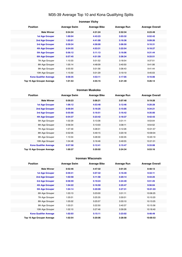## M35-39 Average Top 10 and Kona Qualifying Splits

## **Ironman Vichy Position Average Swim Average Bike Average Run Average Overall Male Winner 0:54:34 4:31:24 2:52:34 8:23:49 1st Age Grouper 1:00:04 4:43:23 3:03:32 8:52:42 2nd Age Grouper 1:03:01 4:41:00 3:16:36 9:09:26 3rd Age Grouper 0:59:34 4:58:00 3:06:50 9:10:31 4th Age Grouper 0:54:55 4:53:31 3:22:54 9:18:27 5th Age Grouper 0:56:12 5:11:13 3:16:06 9:31:44 6th Age Grouper 0:57:45 4:51:59 3:36:34 9:33:51** 7th Age Grouper 1:10:33 5:01:52 3:18:54 9:37:51 8th Age Grouper 1:05:14 <br>
4:48:09 <br>
3:40:50 <br>
9:41:06 9th Age Grouper 0:55:50 5:01:56 3:36:43 9:41:44 10th Age Grouper 1:15:50 5:01:29 3:19:19 9:45:03 **Kona Qualifier Average 0:58:35 4:53:11 3:17:05 9:16:06 Top 10 Age Grouper Average 1:01:53 4:55:15 3:21:49 9:26:14**

#### **Ironman Muskoka**

| <b>Position</b>                   | <b>Average Swim</b> | <b>Average Bike</b> | <b>Average Run</b> | <b>Average Overall</b> |
|-----------------------------------|---------------------|---------------------|--------------------|------------------------|
| <b>Male Winner</b>                | 0:59:23             | 5:06:21             | 3:07:48            | 9:19:28                |
| <b>1st Age Grouper</b>            | 1:06:12             | 4:53:48             | 3:12:46            | 9:20:28                |
| 2nd Age Grouper                   | 0:56:04             | 5:16:25             | 3:15:05            | 9:34:21                |
| 3rd Age Grouper                   | 0:55:00             | 5:16:51             | 3:16:42            | 9:35:00                |
| 4th Age Grouper                   | 0:54:37             | 5:23:42             | 3:18:37            | 9:42:43                |
| 5th Age Grouper                   | 1:02:29             | 5:13:36             | 3:31:11            | 9:53:04                |
| 6th Age Grouper                   | 0:56:34             | 5:13:03             | 3:38:11            | 9:54:52                |
| 7th Age Grouper                   | 1:07:49             | 5:28:31             | 3:12:26            | 10:01:57               |
| 8th Age Grouper                   | 0:52:05             | 5:49:15             | 3:20:18            | 10:09:04               |
| 9th Age Grouper                   | 1:10:34             | 5:28:30             | 3:30:35            | 10:20:19               |
| 10th Age Grouper                  | 1:04:48             | 5:16:46             | 3:49:55            | 10:21:01               |
| <b>Kona Qualifier Average</b>     | 0:57:58             | 5:12:41             | 3:15:47            | 9:33:08                |
| <b>Top 10 Age Grouper Average</b> | 1:00:37             | 5:20:02             | 3:24:34            | 9:53:16                |

#### **Ironman Wisconsin**

| <b>Position</b>               | <b>Average Swim</b> | <b>Average Bike</b> | <b>Average Run</b> | <b>Average Overall</b> |
|-------------------------------|---------------------|---------------------|--------------------|------------------------|
| <b>Male Winner</b>            | 0:52:46             | 4:47:32             | 3:01:25            | 8:48:13                |
| <b>1st Age Grouper</b>        | 0:59:41             | 5:07:32             | 3:16:49            | 9:32:11                |
| 2nd Age Grouper               | 1:02:58             | 5:11:58             | 3:20:14            | 9:43:25                |
| 3rd Age Grouper               | 0:58:59             | 5:19:24             | 3:24:49            | 9:51:25                |
| 4th Age Grouper               | 1:04:22             | 5:16:50             | 3:25:47            | 9:56:04                |
| <b>5th Age Grouper</b>        | 1:04:14             | 5:20:09             | 3:27:31            | 10:01:03               |
| 6th Age Grouper               | 1:03:13             | 5:23:00             | 3:31:11            | 10:06:25               |
| 7th Age Grouper               | 1:05:01             | 5:25:35             | 3:30:01            | 10:10:20               |
| 8th Age Grouper               | 1:05:02             | 5:25:57             | 3:33:10            | 10:13:25               |
| 9th Age Grouper               | 1:03:21             | 5:22:50             | 3:40:37            | 10:15:56               |
| 10th Age Grouper              | 1:02:10             | 5:27:46             | 3:39:26            | 10:18:40               |
| <b>Kona Qualifier Average</b> | 1:02:03             | 5:15:11             | 3:23:02            | 9:48:49                |
| Top 10 Age Grouper Average    | 1:02:54             | 5:20:06             | 3:28:58            | 10:00:53               |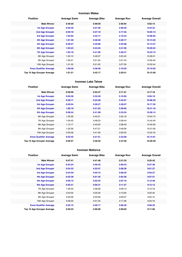## **Ironman Wales**

| <b>Position</b>                   | <b>Average Swim</b> | <b>Average Bike</b> | <b>Average Run</b> | <b>Average Overall</b> |
|-----------------------------------|---------------------|---------------------|--------------------|------------------------|
| <b>Male Winner</b>                | 0:49:20             | 5:08:59             | 2:56:04            | 9:02:14                |
| <b>1st Age Grouper</b>            | 0:56:30             | 5:27:36             | 3:09:30            | 9:44:34                |
| <b>2nd Age Grouper</b>            | 0:59:18             | 5:37:19             | 3:17:32            | 10:05:13               |
| 3rd Age Grouper                   | 1:04:03             | 5:42:17             | 3:10:44            | 10:08:04               |
| <b>4th Age Grouper</b>            | 1:01:46             | 5:38:48             | 3:20:17            | 10:13:22               |
| <b>5th Age Grouper</b>            | 0:58:27             | 5:40:06             | 3:25:08            | 10:14:57               |
| <b>6th Age Grouper</b>            | 1:03:23             | 5:44:24             | 3:21:50            | 10:20:54               |
| <b>7th Age Grouper</b>            | 1:03:18             | 5:41:06             | 3:26:47            | 10:23:15               |
| 8th Age Grouper                   | 1:00:10             | 5:49:07             | 3:25:40            | 10:26:01               |
| 9th Age Grouper                   | 1:05:01             | 5:51:04             | 3:21:43            | 10:30:40               |
| 10th Age Grouper                  | 1:01:33             | 5:51:05             | 3:27:39            | 10:32:44               |
| <b>Kona Qualifier Average</b>     | 1:00:58             | 5:38:48             | 3:18:50            | 10:10:02               |
| <b>Top 10 Age Grouper Average</b> | 1:01:21             | 5:42:17             | 3:20:41            | 10:15:58               |

#### **Ironman Lake Tahoe**

| <b>Position</b>                   | <b>Average Swim</b> | <b>Average Bike</b> | <b>Average Run</b> | <b>Average Overall</b> |
|-----------------------------------|---------------------|---------------------|--------------------|------------------------|
| <b>Male Winner</b>                | 0:56:06             | 5:02:47             | 3:11:51            | 9:17:18                |
| <b>1st Age Grouper</b>            | 0:56:36             | 5:32:49             | 3:19:26            | 9:56:19                |
| 2nd Age Grouper                   | 0:28:11             | 5:23:28             | 3:34:57            | 10:08:42               |
| 3rd Age Grouper                   | 0:59:54             | 5:30:27             | 3:38:07            | 10:17:32               |
| 4th Age Grouper                   | 1:00:19             | 5:31:23             | 3:39:05            | 10:21:16               |
| 5th Age Grouper                   | 0:58:44             | 5:41:09             | 3:33:24            | 10:26:14               |
| 6th Age Grouper                   | 1:05:56             | 5:43:21             | 3:32:18            | 10:34:13               |
| 7th Age Grouper                   | 1:04:42             | 5:48:23             | 3:36:44            | 10:42:49               |
| 8th Age Grouper                   | 1:12:17             | 5:45:05             | 3:38:49            | 10:45:59               |
| 9th Age Grouper                   | 1:02:56             | 5:47:51             | 3:46:56            | 10:51:06               |
| 10th Age Grouper                  | 0:59:58             | 5:41:09             | 3:59:35            | 10:52:18               |
| <b>Kona Qualifier Average</b>     | 0:52:45             | 5:31:51             | 3:33:00            | 10:14:01               |
| <b>Top 10 Age Grouper Average</b> | 0:58:57             | 5:38:30             | 3:37:56            | 10:29:39               |

#### **Ironman Mallorca**

| <b>Position</b>               | <b>Average Swim</b> | <b>Average Bike</b> | <b>Average Run</b> | <b>Average Overall</b> |
|-------------------------------|---------------------|---------------------|--------------------|------------------------|
| <b>Male Winner</b>            | 0:47:41             | 4:41:48             | 2:51:33            | 8:25:42                |
| <b>1st Age Grouper</b>        | 0:54:24             | 4:56:43             | 3:00:43            | 8:57:30                |
| 2nd Age Grouper               | 0:54:33             | 4:52:47             | 3:08:36            | 9:01:27                |
| 3rd Age Grouper               | 0:54:59             | 4:55:15             | 3:06:55            | 9:03:27                |
| 4th Age Grouper               | 0:55:38             | 5:01:42             | 3:04:36            | 9:07:51                |
| <b>5th Age Grouper</b>        | 0:56:15             | 5:02:45             | 3:07:16            | 9:12:48                |
| 6th Age Grouper               | 0:55:41             | 5:00:31             | 3:11:57            | 9:15:12                |
| 7th Age Grouper               | 1:00:03             | 4:58:28             | 3:09:13            | 9:15:18                |
| 8th Age Grouper               | 0:54:03             | 5:05:29             | 3:13:59            | 9:20:40                |
| 9th Age Grouper               | 0:59:36             | 5:05:58             | 3:09:37            | 9:22:12                |
| 10th Age Grouper              | 0:58:25             | 5:01:25             | 3:17:28            | 9:23:18                |
| <b>Kona Qualifier Average</b> | 0:55:15             | 4:58:17             | 3:06:40            | 9:06:22                |
| Top 10 Age Grouper Average    | 0:56:22             | 5:00:06             | 3:09:02            | 9:11:58                |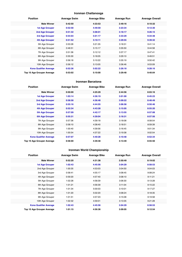## **Ironman Chattanooga**

| <b>Position</b>               | <b>Average Swim</b> | <b>Average Bike</b> | <b>Average Run</b> | <b>Average Overall</b> |
|-------------------------------|---------------------|---------------------|--------------------|------------------------|
| <b>Male Winner</b>            | 0:42:50             | 4:33:53             | 2:49:16            | 8:10:32                |
| <b>1st Age Grouper</b>        | 0:52:58             | 4:49:59             | 3:23:34            | 9:12:30                |
| <b>2nd Age Grouper</b>        | 0:51:32             | 5:08:01             | 3:18:17            | 9:26:15                |
| 3rd Age Grouper               | 0:54:03             | 5:01:17             | 3:33:29            | 9:34:48                |
| 4th Age Grouper               | 0:51:52             | 5:10:11             | 3:29:55            | 9:39:32                |
| 5th Age Grouper               | 0:53:28             | 5:21:35             | 3:18:31            | 9:41:14                |
| 6th Age Grouper               | 0:46:51             | 5:15:17             | 3:35:50            | 9:44:58                |
| 7th Age Grouper               | 0:51:36             | 5:12:12             | 3:37:17            | 9:47:41                |
| 8th Age Grouper               | 0:55:30             | 5:18:05             | 3:29:10            | 9:49:51                |
| 9th Age Grouper               | 0:56:18             | 5:10:22             | 3:35:19            | 9:50:42                |
| 10th Age Grouper              | 0:56:12             | 5:13:05             | 3:36:46            | 9:53:09                |
| <b>Kona Qualifier Average</b> | 0:52:36             | 5:02:22             | 3:26:18            | 9:28:16                |
| Top 10 Age Grouper Average    | 0:53:02             | 5:10:00             | 3:29:48            | 9:40:04                |

#### **Ironman Barcelona**

| <b>Position</b>               | <b>Average Swim</b> | <b>Average Bike</b> | <b>Average Run</b> | <b>Average Overall</b> |
|-------------------------------|---------------------|---------------------|--------------------|------------------------|
| <b>Male Winner</b>            | 0:50:00             | 4:25:29             | 2:44:56            | 8:03:16                |
| <b>1st Age Grouper</b>        | 1:03:14             | 4:36:19             | 3:01:00            | 8:45:23                |
| 2nd Age Grouper               | 0:58:58             | 4:36:48             | 3:09:22            | 8:48:49                |
| 3rd Age Grouper               | 0:55:16             | 4:44:55             | 3:06:58            | 8:50:46                |
| 4th Age Grouper               | 0:52:34             | 4:43:28             | 3:15:05            | 8:55:20                |
| 5th Age Grouper               | 0:57:09             | 4:42:17             | 3:13:55            | 8:57:08                |
| <b>6th Age Grouper</b>        | 0:55:31             | 4:39:04             | 3:18:31            | 8:57:56                |
| 7th Age Grouper               | 0:57:36             | 4:39:18             | 3:18:08            | 8:58:54                |
| 8th Age Grouper               | 0:58:10             | 4:38:40             | 3:18:51            | 8:59:39                |
| 9th Age Grouper               | 1:00:40             | 4:39:56             | 3:16:45            | 9:01:34                |
| 10th Age Grouper              | 1:00:54             | 4:37:22             | 3:19:38            | 9:02:54                |
| <b>Kona Qualifier Average</b> | 0:57:07             | 4:40:28             | 3:10:48            | 8:52:34                |
| Top 10 Age Grouper Average    | 0:58:00             | 4:39:48             | 3:13:49            | 8:55:50                |

## **Ironman World Championship**

| <b>Position</b>               | <b>Average Swim</b> | <b>Average Bike</b> | <b>Average Run</b> | <b>Average Overall</b> |
|-------------------------------|---------------------|---------------------|--------------------|------------------------|
| <b>Male Winner</b>            | 0:52:20             | 4:31:38             | 2:50:49            | 8:19:02                |
| <b>1st Age Grouper</b>        | 1:02:43             | 4:45:56             | 3:04:29            | 8:58:53                |
| 2nd Age Grouper               | 1:00:35             | 4:53:03             | 3:04:50            | 9:04:03                |
| 3rd Age Grouper               | 0:58:41             | 4:55:17             | 3:08:45            | 9:08:24                |
| 4th Age Grouper               | 0:59:20             | 4:57:40             | 3:08:10            | 9:11:21                |
| 5th Age Grouper               | 1:02:28             | 4:58:39             | 3:06:30            | 9:13:28                |
| 6th Age Grouper               | 1:01:21             | 4:56:39             | 3:11:04            | 9:15:22                |
| 7th Age Grouper               | 1:01:34             | 5:00:03             | 3:10:01            | 9:17:27                |
| 8th Age Grouper               | 1:01:20             | 5:02:20             | 3:08:24            | 9:18:35                |
| 9th Age Grouper               | 1:01:51             | 4:57:23             | 3:15:08            | 9:19:58                |
| 10th Age Grouper              | 1:02:32             | 4:59:01             | 3:13:35            | 9:21:28                |
| <b>Kona Qualifier Average</b> | 1:02:43             | 4:45:56             | 3:04:29            | 8:58:53                |
| Top 10 Age Grouper Average    | 1:01:15             | 4:56:36             | 3:09:05            | 9:12:54                |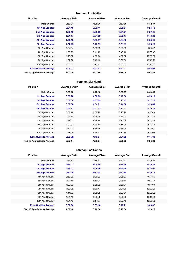## **Ironman Louisville**

| <b>Position</b>               | <b>Average Swim</b> | <b>Average Bike</b> | <b>Average Run</b> | <b>Average Overall</b> |
|-------------------------------|---------------------|---------------------|--------------------|------------------------|
| <b>Male Winner</b>            | 0:52:21             | 4:38:36             | 2:57:00            | 8:32:37                |
| <b>1st Age Grouper</b>        | 0:54:48             | 5:03:41             | 3:20:04            | 9:26:10                |
| <b>2nd Age Grouper</b>        | 1:00:19             | 5:08:00             | 3:21:21            | 9:37:01                |
| 3rd Age Grouper               | 1:01:17             | 5:04:59             | 3:29:17            | 9:43:28                |
| 4th Age Grouper               | 1:02:18             | 5:07:57             | 3:34:48            | 9:53:01                |
| <b>5th Age Grouper</b>        | 1:02:15             | 5:13:59             | 3:31:19            | 9:55:29                |
| 6th Age Grouper               | 1:04:04             | 5:09:23             | 3:38:35            | 9:59:47                |
| 7th Age Grouper               | 1:00:39             | 5:11:19             | 3:43:16            | 10:03:45               |
| 8th Age Grouper               | 1:16:22             | 4:37:24             | 4:27:02            | 10:06:56               |
| 9th Age Grouper               | 1:02:32             | 5:19:18             | 3:39:50            | 10:10:29               |
| 10th Age Grouper              | 1:03:35             | 5:23:12             | 3:37:53            | 10:13:31               |
| <b>Kona Qualifier Average</b> | 1:00:11             | 5:07:43             | 3:27:22            | 9:43:02                |
| Top 10 Age Grouper Average    | 1:02:49             | 5:07:55             | 3:38:20            | 9:54:58                |

## **Ironman Maryland**

| <b>Position</b>               | <b>Average Swim</b> | <b>Average Bike</b> | <b>Average Run</b> | <b>Average Overall</b> |
|-------------------------------|---------------------|---------------------|--------------------|------------------------|
| <b>Male Winner</b>            | 0:53:10             | 4:40:10             | 3:05:37            | 8:44:50                |
| <b>1st Age Grouper</b>        | 0:56:28             | 4:38:03             | 3:17:56            | 8:59:18                |
| 2nd Age Grouper               | 0:50:36             | 4:53:09             | 3:25:43            | 9:17:26                |
| 3rd Age Grouper               | 0:59:58             | 4:54:01             | 3:14:38            | 9:20:09                |
| 4th Age Grouper               | 0:58:27             | 4:51:03             | 3:27:12            | 9:25:22                |
| 5th Age Grouper               | 0:57:19             | 4:58:29             | 3:20:26            | 9:27:48                |
| 6th Age Grouper               | 0:57:24             | 4:58:59             | 3:25:43            | 9:31:22                |
| 7th Age Grouper               | 0:56:22             | 4:55:38             | 3:32:49            | 9:34:10                |
| 8th Age Grouper               | 1:00:23             | 4:50:30             | 3:36:08            | 9:34:23                |
| 9th Age Grouper               | 0:57:23             | 4:55:18             | 3:35:04            | 9:35:57                |
| 10th Age Grouper              | 0:58:05             | 4:58:52             | 3:30:19            | 9:38:06                |
| <b>Kona Qualifier Average</b> | 0:56:22             | 4:49:04             | 3:21:22            | 9:15:34                |
| Top 10 Age Grouper Average    | 0:57:14             | 4:53:24             | 3:26:35            | 9:26:24                |

#### **Ironman Los Cabos**

| <b>Position</b>               | <b>Average Swim</b> | <b>Average Bike</b> | <b>Average Run</b> | <b>Average Overall</b> |
|-------------------------------|---------------------|---------------------|--------------------|------------------------|
| <b>Male Winner</b>            | 0:50:33             | 4:38:43             | 2:53:22            | 8:26:31                |
| <b>1st Age Grouper</b>        | 0:54:27             | 5:04:49             | 3:16:46            | 9:20:33                |
| <b>2nd Age Grouper</b>        | 0:59:43             | 5:06:00             | 3:20:19            | 9:32:01                |
| 3rd Age Grouper               | 0:57:09             | 5:17:04             | 3:17:58            | 9:39:17                |
| 4th Age Grouper               | 0:56:36             | 5:20:03             | 3:25:07            | 9:47:35                |
| 5th Age Grouper               | 1:01:15             | 5:19:04             | 3:25:10            | 9:51:49                |
| 6th Age Grouper               | 1:00:00             | 5:25:32             | 3:25:04            | 9:57:09                |
| 7th Age Grouper               | 1:02:38             | 5:20:47             | 3:31:20            | 10:02:06               |
| 8th Age Grouper               | 1:11:26             | 5:25:28             | 3:22:31            | 10:05:22               |
| 9th Age Grouper               | 1:01:48             | 5:35:35             | 3:33:39            | 10:16:32               |
| 10th Age Grouper              | 1:01:42             | 5:14:37             | 3:57:46            | 10:22:02               |
| <b>Kona Qualifier Average</b> | 0:57:06             | 5:09:18             | 3:18:21            | 9:30:37                |
| Top 10 Age Grouper Average    | 1:00:40             | 5:18:54             | 3:27:34            | 9:53:26                |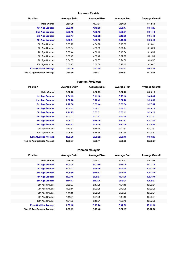## **Ironman Florida**

| <b>Position</b>               | <b>Average Swim</b> | <b>Average Bike</b> | <b>Average Run</b> | <b>Average Overall</b> |
|-------------------------------|---------------------|---------------------|--------------------|------------------------|
| <b>Male Winner</b>            | 0:51:09             | 4:27:24             | 2:54:25            | 8:12:58                |
| <b>1st Age Grouper</b>        | 0:53:18             | 4:48:53             | 3:06:17            | 8:54:25                |
| 2nd Age Grouper               | 0:52:43             | 4:52:15             | 3:09:31            | 9:01:14                |
| 3rd Age Grouper               | 0:53:47             | 4:52:32             | 3:12:59            | 9:05:44                |
| 4th Age Grouper               | 0:52:14             | 4:53:19             | 3:16:02            | 9:08:48                |
| 5th Age Grouper               | 0:53:16             | 4:54:26             | 3:15:39            | 9:10:41                |
| 6th Age Grouper               | 0:55:04             | 4:53:09             | 3:20:14            | 9:15:20                |
| 7th Age Grouper               | 0:56:44             | 4:56:10             | 3:18:54            | 9:18:55                |
| 8th Age Grouper               | 0:56:45             | 4:55:40             | 3:22:27            | 9:21:55                |
| 9th Age Grouper               | 0:54:55             | 4:58:37             | 3:24:00            | 9:24:57                |
| 10th Age Grouper              | 0:56:15             | 5:00:09             | 3:22:42            | 9:26:47                |
| <b>Kona Qualifier Average</b> | 0:53:00             | 4:51:45             | 3:11:12            | 9:02:33                |
| Top 10 Age Grouper Average    | 0:54:30             | 4:54:31             | 3:16:52            | 9:12:53                |

#### **Ironman Fortaleza**

| <b>Position</b>               | <b>Average Swim</b> | <b>Average Bike</b> | <b>Average Run</b> | <b>Average Overall</b> |
|-------------------------------|---------------------|---------------------|--------------------|------------------------|
| <b>Male Winner</b>            | 0:52:20             | 4:32:09             | 3:02:22            | 8:30:15                |
| <b>1st Age Grouper</b>        | 1:04:13             | 5:11:18             | 3:25:16            | 9:45:04                |
| 2nd Age Grouper               | 1:07:26             | 5:12:42             | 3:32:20            | 9:56:59                |
| 3rd Age Grouper               | 1:12:06             | 5:05:44             | 3:33:54            | 9:57:54                |
| 4th Age Grouper               | 1:07:42             | 5:04:11             | 3:40:53            | 9:59:18                |
| <b>5th Age Grouper</b>        | 1:14:25             | 5:03:51             | 3:35:13            | 9:59:20                |
| <b>6th Age Grouper</b>        | 1:02:11             | 5:01:41             | 3:52:18            | 10:01:21               |
| <b>7th Age Grouper</b>        | 1:05:11             | 5:15:16             | 3:32:53            | 10:01:38               |
| <b>8th Age Grouper</b>        | 1:14:53             | 5:09:35             | 3:37:20            | 10:05:54               |
| 9th Age Grouper               | 1:19:31             | 5:15:44             | 3:22:52            | 10:07:31               |
| 10th Age Grouper              | 1:08:39             | 5:16:54             | 3:37:59            | 10:09:37               |
| <b>Kona Qualifier Average</b> | 1:08:30             | 5:08:02             | 3:36:15            | 9:58:26                |
| Top 10 Age Grouper Average    | 1:09:37             | 5:09:41             | 3:35:05            | 10:00:27               |

## **Ironman Malaysia**

| <b>Position</b>               | <b>Average Swim</b> | <b>Average Bike</b> | <b>Average Run</b> | <b>Average Overall</b> |
|-------------------------------|---------------------|---------------------|--------------------|------------------------|
| <b>Male Winner</b>            | 0:49:49             | 4:40:31             | 3:05:37            | 8:41:53                |
| <b>1st Age Grouper</b>        | 1:00:04             | 5:07:50             | 3:14:20            | 9:27:16                |
| 2nd Age Grouper               | 1:04:27             | 5:29:05             | 3:40:14            | 10:21:10               |
| 3rd Age Grouper               | 1:08:59             | 5:18:47             | 3:44:45            | 10:21:10               |
| 4th Age Grouper               | 1:03:45             | 5:08:07             | 4:01:26            | 10:21:49               |
| 5th Age Grouper               | 1:14:17             | 5:13:25             | 3:49:34            | 10:25:07               |
| 6th Age Grouper               | 0:58:37             | 5:17:05             | 4:04:18            | 10:26:54               |
| 7th Age Grouper               | 1:06:14             | 5:23:35             | 3:49:25            | 10:29:06               |
| 8th Age Grouper               | 1:11:11             | 5:22:26             | 3:55:03            | 10:35:24               |
| 9th Age Grouper               | 1:11:34             | 5:01:25             | 4:14:13            | 10:36:04               |
| 10th Age Grouper              | 1:04:02             | 5:16:21             | 4:09:40            | 10:37:20               |
| <b>Kona Qualifier Average</b> | 1:06:18             | 5:15:26             | 3:42:03            | 10:11:18               |
| Top 10 Age Grouper Average    | 1:06:19             | 5:15:48             | 3:52:17            | 10:22:08               |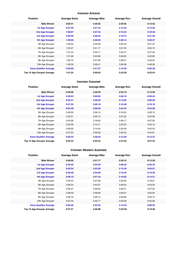#### **Ironman Arizona**

| <b>Position</b>               | <b>Average Swim</b> | <b>Average Bike</b> | <b>Average Run</b> | <b>Average Overall</b> |
|-------------------------------|---------------------|---------------------|--------------------|------------------------|
| <b>Male Winner</b>            | 0:50:41             | 4:29:35             | 2:49:35            | 8:13:52                |
| <b>1st Age Grouper</b>        | 0:57:20             | 4:57:18             | 3:13:45            | 9:14:03                |
| 2nd Age Grouper               | 1:00:07             | 4:57:44             | 3:15:24            | 9:18:48                |
| 3rd Age Grouper               | 0:59:08             | 4:58:23             | 3:18:12            | 9:21:50                |
| 4th Age Grouper               | 1:02:09             | 4:28:30             | 3:20:14            | 9:25:47                |
| 5th Age Grouper               | 1:00:04             | 4:59:59             | 3:25:42            | 9:31:27                |
| 6th Age Grouper               | 1:03:47             | 5:01:17             | 3:21:24            | 9:33:16                |
| 7th Age Grouper               | 1:01:44             | 5:05:17             | 3:24:47            | 9:37:40                |
| 8th Age Grouper               | 1:01:46             | 5:04:58             | 3:29:55            | 9:42:58                |
| 9th Age Grouper               | 1:06:10             | 5:07:26             | 3:28:31            | 9:48:54                |
| 10th Age Grouper              | 1:03:39             | 5:09:41             | 3:28:38            | 9:48:39                |
| <b>Kona Qualifier Average</b> | 0:59:26             | 4:51:57             | 3:16:50            | 9:20:39                |
| Top 10 Age Grouper Average    | 1:01:24             | 5:00:04             | 3:22:36            | 9:32:54                |

#### **Ironman Cozumel**

| <b>Position</b>               | <b>Average Swim</b> | <b>Average Bike</b> | <b>Average Run</b> | <b>Average Overall</b> |
|-------------------------------|---------------------|---------------------|--------------------|------------------------|
| <b>Male Winner</b>            | 0:49:06             | 4:38:56             | 2:53:19            | 8:12:56                |
| <b>1st Age Grouper</b>        | 0:49:53             | 5:09:05             | 3:06:16            | 8:59:43                |
| 2nd Age Grouper               | 0:52:41             | 4:58:22             | 3:13:52            | 9:09:56                |
| 3rd Age Grouper               | 0:47:05             | 5:00:18             | 3:16:48            | 9:16:19                |
| 4th Age Grouper               | 0:52:36             | 4:09:52             | 3:24:24            | 9:24:29                |
| 5th Age Grouper               | 0:48:50             | 5:06:13             | 3:19:55            | 9:28:15                |
| 6th Age Grouper               | 0:52:01             | 5:05:15             | 3:31:25            | 9:34:30                |
| 7th Age Grouper               | 0:54:58             | 5:18:05             | 3:26:17            | 9:37:20                |
| 8th Age Grouper               | 0:55:48             | 5:14:11             | 3:23:34            | 9:40:13                |
| 9th Age Grouper               | 0:56:05             | 5:14:34             | 3:25:58            | 9:42:42                |
| 10th Age Grouper              | 0:57:22             | 5:09:36             | 3:30:45            | 9:44:01                |
| <b>Kona Qualifier Average</b> | 0:50:34             | 4:49:24             | 3:15:20            | 9:12:37                |
| Top 10 Age Grouper Average    | 0:52:44             | 5:02:33             | 3:21:55            | 9:27:45                |

#### **Ironman Western Australia**

| <b>Position</b>               | <b>Average Swim</b> | <b>Average Bike</b> | <b>Average Run</b> | <b>Average Overall</b> |
|-------------------------------|---------------------|---------------------|--------------------|------------------------|
| <b>Male Winner</b>            | 0:49:56             | 4:31:17             | 2:50:16            | 8:13:36                |
| <b>1st Age Grouper</b>        | 0:55:02             | 4:50:40             | 3:08:22            | 8:56:43                |
| <b>2nd Age Grouper</b>        | 0:55:54             | 4:53:29             | 3:13:40            | 9:05:57                |
| 3rd Age Grouper               | 0:56:48             | 4:54:00             | 3:16:45            | 9:10:30                |
| <b>4th Age Grouper</b>        | 0:58:10             | 4:57:18             | 3:16:02            | 9:14:31                |
| 5th Age Grouper               | 0:55:44             | 4:57:28             | 3:22:00            | 9:18:01                |
| 6th Age Grouper               | 0:56:24             | 4:55:27             | 3:28:25            | 9:23:30                |
| 7th Age Grouper               | 0:59:47             | 4:58:23             | 3:25:31            | 9:27:23                |
| 8th Age Grouper               | 0:58:49             | 4:58:06             | 3:30:47            | 9:30:55                |
| 9th Age Grouper               | 0:59:16             | 4:56:12             | 3:32:58            | 9:32:14                |
| 10th Age Grouper              | 0:57:35             | 5:00:17             | 3:33:29            | 9:34:58                |
| <b>Kona Qualifier Average</b> | 0:56:28             | 4:53:52             | 3:13:42            | 9:06:55                |
| Top 10 Age Grouper Average    | 0:57:21             | 4:56:08             | 3:22:48            | 9:19:28                |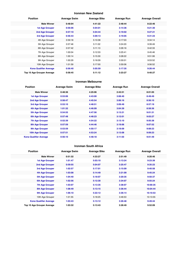## **Ironman New Zealand**

| <b>Position</b>               | <b>Average Swim</b> | <b>Average Bike</b> | <b>Average Run</b> | <b>Average Overall</b> |
|-------------------------------|---------------------|---------------------|--------------------|------------------------|
| <b>Male Winner</b>            | 0:48:04             | 4:41:22             | 2:48:44            | 8:22:46                |
| <b>1st Age Grouper</b>        | 0:56:06             | 5:04:01             | 3:14:36            | 9:21:30                |
| <b>2nd Age Grouper</b>        | 0:57:10             | 5:04:44             | 3:19:02            | 9:27:21                |
| 3rd Age Grouper               | 0:56:43             | 5:09:13             | 3:19:05            | 9:31:23                |
| 4th Age Grouper               | 0:59:18             | 5:10:38             | 3:17:03            | 9:34:14                |
| 5th Age Grouper               | 0:57:46             | 5:11:02             | 3:24:20            | 9:39:49                |
| 6th Age Grouper               | 0:57:42             | 5:11:13             | 3:26:16            | 9:42:33                |
| 7th Age Grouper               | 1:00:04             | 5:12:33             | 3:25:41            | 9:45:46                |
| 8th Age Grouper               | 1:00:14             | 5:15:30             | 3:28:22            | 9:51:06                |
| 9th Age Grouper               | 1:00:29             | 5:16:09             | 3:30:01            | 9:53:52                |
| 10th Age Grouper              | 1:01:59             | 5:17:00             | 3:30:06            | 9:56:52                |
| <b>Kona Qualifier Average</b> | 0:56:40             | 5:05:59             | 3:17:35            | 9:26:44                |
| Top 10 Age Grouper Average    | 0:58:45             | 5:11:12             | 3:23:27            | 9:40:27                |

#### **Ironman Melbourne**

| <b>Position</b>               | <b>Average Swim</b> | <b>Average Bike</b> | <b>Average Run</b> | <b>Average Overall</b> |
|-------------------------------|---------------------|---------------------|--------------------|------------------------|
| <b>Male Winner</b>            | 0:48:36             | 4:25:06             | 2:43:51            | 8:01:05                |
| <b>1st Age Grouper</b>        | 0:53:06             | 4:43:00             | 3:08:40            | 8:49:49                |
| 2nd Age Grouper               | 0:58:47             | 4:45:54             | 3:06:16            | 8:56:10                |
| 3rd Age Grouper               | 0:53:10             | 4:48:51             | 3:09:49            | 8:57:19                |
| <b>4th Age Grouper</b>        | 1:01:32             | 4:46:09             | 3:04:39            | 8:58:36                |
| 5th Age Grouper               | 0:54:55             | 4:47:56             | 3:13:21            | 9:01:31                |
| <b>6th Age Grouper</b>        | 0:57:48             | 4:48:23             | 3:12:01            | 9:03:27                |
| <b>7th Age Grouper</b>        | 0:52:39             | 4:54:22             | 3:13:10            | 9:05:38                |
| 8th Age Grouper               | 0:57:59             | 4:44:46             | 3:19:06            | 9:07:52                |
| 9th Age Grouper               | 0:53:59             | 4:50:17             | 3:18:09            | 9:08:23                |
| 10th Age Grouper              | 0:57:51             | 4:53:24             | 3:13:08            | 9:09:23                |
| <b>Kona Qualifier Average</b> | 0:56:10             | 4:48:18             | 3:11:50            | 9:01:49                |

## **Ironman South Africa**

| <b>Position</b>               | <b>Average Swim</b> | <b>Average Bike</b> | <b>Average Run</b> | <b>Average Overall</b> |
|-------------------------------|---------------------|---------------------|--------------------|------------------------|
| <b>Male Winner</b>            | 0:51:32             | 4:33:27             | 2:51:49            | 8:20:46                |
| <b>1st Age Grouper</b>        | 1:01:47             | 5:03:10             | 3:13:24            | 9:23:39                |
| 2nd Age Grouper               | 0:59:55             | 5:04:07             | 3:25:47            | 9:35:23                |
| 3rd Age Grouper               | 1:02:57             | 5:17:01             | 3:15:09            | 9:40:58                |
| 4th Age Grouper               | 1:03:08             | 5:14:49             | 3:21:09            | 9:45:24                |
| 5th Age Grouper               | 1:04:40             | 5:18:07             | 3:20:35            | 9:50:37                |
| <b>6th Age Grouper</b>        | 1:02:56             | 5:12:30             | 3:34:07            | 9:55:24                |
| <b>7th Age Grouper</b>        | 1:03:07             | 5:13:35             | 3:38:07            | 10:00:35               |
| 8th Age Grouper               | 1:08:49             | 5:13:15             | 3:36:44            | 10:04:44               |
| 9th Age Grouper               | 1:06:10             | 5:22:12             | 3:36:14            | 10:10:53               |
| 10th Age Grouper              | 1:01:55             | 5:18:25             | 3:46:53            | 10:13:55               |
| <b>Kona Qualifier Average</b> | 1:03:43             | 5:13:12             | 3:26:48            | 9:49:44                |
| Top 10 Age Grouper Average    | 1:03:32             | 5:13:43             | 3:28:49            | 9:52:09                |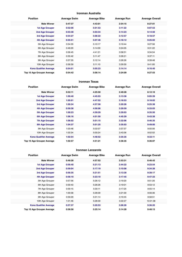#### **Ironman Australia**

| <b>Position</b>               | <b>Average Swim</b> | <b>Average Bike</b> | <b>Average Run</b> | <b>Average Overall</b> |
|-------------------------------|---------------------|---------------------|--------------------|------------------------|
| <b>Male Winner</b>            | 0:47:37             | 4:43:01             | 2:54:15            | 8:27:01                |
| <b>1st Age Grouper</b>        | 0:52:06             | 5:01:53             | 3:11:22            | 9:07:53                |
| <b>2nd Age Grouper</b>        | 0:53:38             | 5:03:34             | 3:14:23            | 9:14:50                |
| 3rd Age Grouper               | 0:54:27             | 5:08:22             | 3:12:57            | 9:18:57                |
| 4th Age Grouper               | 0:55:51             | 5:07:46             | 3:18:12            | 9:25:02                |
| 5th Age Grouper               | 0:54:35             | 5:10:17             | 3:19:44            | 9:27:56                |
| 6th Age Grouper               | 0:49:20             | 5:14:00             | 3:24:05            | 9:31:22                |
| 7th Age Grouper               | 0:56:45             | 4:41:21             | 3:58:31            | 9:34:54                |
| 8th Age Grouper               | 0:55:42             | 5:11:47             | 3:26:21            | 9:37:11                |
| 9th Age Grouper               | 0:57:35             | 5:12:14             | 3:26:26            | 9:39:48                |
| 10th Age Grouper              | 0:56:59             | 5:11:10             | 3:29:30            | 9:41:00                |
| <b>Kona Qualifier Average</b> | 0:54:01             | 5:05:23             | 3:14:14            | 9:16:40                |
| Top 10 Age Grouper Average    | 0:54:42             | 5:06:14             | 3:24:09            | 9:27:53                |

#### **Ironman Texas**

| <b>Position</b>                   | <b>Average Swim</b> | <b>Average Bike</b> | <b>Average Run</b> | <b>Average Overall</b> |
|-----------------------------------|---------------------|---------------------|--------------------|------------------------|
| <b>Male Winner</b>                | 0:52:11             | 4:25:50             | 2:49:28            | 8:12:10                |
| <b>1st Age Grouper</b>            | 1:00:40             | 4:45:03             | 3:13:38            | 9:05:39                |
| 2nd Age Grouper                   | 1:05:01             | 4:47:52             | 3:18:53            | 9:18:02                |
| 3rd Age Grouper                   | 1:00:34             | 4:57:58             | 3:20:26            | 9:25:38                |
| <b>4th Age Grouper</b>            | 0:59:38             | 4:56:06             | 3:29:59            | 9:33:03                |
| <b>5th Age Grouper</b>            | 1:00:23             | 4:59:29             | 3:29:03            | 9:35:50                |
| <b>6th Age Grouper</b>            | 1:06:16             | 4:01:50             | 4:45:29            | 9:43:38                |
| <b>7th Age Grouper</b>            | 1:06:02             | 5:01:15             | 3:32:06            | 9:46:35                |
| <b>8th Age Grouper</b>            | 1:04:37             | 5:01:25             | 3:35:03            | 9:49:00                |
| 9th Age Grouper                   | 1:03:48             | 5:02:07             | 3:37:37            | 9:50:56                |
| 10th Age Grouper                  | 1:02:34             | 5:00:24             | 3:43:36            | 9:52:52                |
| <b>Kona Qualifier Average</b>     | 1:02:54             | 4:48:52             | 3:35:35            | 9:32:11                |
| <b>Top 10 Age Grouper Average</b> | 1:02:57             | 4:51:21             | 3:36:35            | 9:36:07                |

#### **Ironman Lanzarote**

| <b>Position</b>               | <b>Average Swim</b> | <b>Average Bike</b> | <b>Average Run</b> | <b>Average Overall</b> |
|-------------------------------|---------------------|---------------------|--------------------|------------------------|
| <b>Male Winner</b>            | 0:49:28             | 4:57:52             | 2:53:31            | 8:46:42                |
| 1st Age Grouper               | 0:56:40             | 5:21:13             | 2:44:22            | 9:23:54                |
| 2nd Age Grouper               | 0:59:04             | 5:17:19             | 3:10:08            | 9:34:38                |
| 3rd Age Grouper               | 0:56:35             | 5:21:51             | 3:13:30            | 9:39:17                |
| 4th Age Grouper               | 0:58:10             | 5:23:10             | 3:17:45            | 9:47:33                |
| 5th Age Grouper               | 0:57:56             | 5:26:12             | 3:19:20            | 9:51:20                |
| 6th Age Grouper               | 0:59:43             | 5:26:26             | 3:19:01            | 9:53:12                |
| 7th Age Grouper               | 0:59:15             | 5:30:11             | 3:17:25            | 9:55:14                |
| 8th Age Grouper               | 1:00:58             | 5:26:09             | 3:21:00            | 9:56:36                |
| 9th Age Grouper               | 0:59:29             | 5:31:14             | 3:19:45            | 9:58:51                |
| 10th Age Grouper              | 1:01:46             | 5:28:39             | 3:22:27            | 10:01:38               |
| <b>Kona Qualifier Average</b> | 0:57:37             | 5:20:53             | 3:06:26            | 9:36:20                |
| Top 10 Age Grouper Average    | 0:58:58             | 5:25:14             | 3:14:28            | 9:48:13                |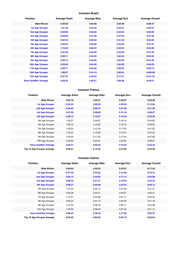#### **Ironman Brazil**

| <b>Position</b>               | <b>Average Swim</b> | <b>Average Bike</b> | <b>Average Run</b> | <b>Average Overall</b> |
|-------------------------------|---------------------|---------------------|--------------------|------------------------|
| <b>Male Winner</b>            | 0:49:05             | 4:25:58             | 2:54:46            | 8:36:37                |
| <b>1st Age Grouper</b>        | 1:01:35             | 4:24:22             | 2:54:21            | 9:28:37                |
| 2nd Age Grouper               | 0:58:08             | 4:28:36             | 2:54:04            | 9:36:03                |
| 3rd Age Grouper               | 0:58:06             | 4:27:59             | 2:57:33            | 9:41:08                |
| 4th Age Grouper               | 0:53:12             | 3:29:44             | 2:41:23            | 9:45:25                |
| 5th Age Grouper               | 0:59:54             | 4:02:20             | 3:36:08            | 9:47:27                |
| <b>6th Age Grouper</b>        | 1:15:49             | 4:03:37             | 2:40:54            | 9:49:40                |
| <b>7th Age Grouper</b>        | 0:55:36             | 4:00:58             | 2:43:59            | 9:51:33                |
| 8th Age Grouper               | 0:58:11             | 4:34:45             | 3:03:44            | 9:52:42                |
| 9th Age Grouper               | 0:58:13             | 4:33:05             | 3:05:59            | 9:54:49                |
| 10th Age Grouper              | 0:59:06             | 4:35:25             | 3:04:59            | 9:56:22                |
| 11th Age Grouper              | 0:58:17             | 4:34:02             | 3:09:22            | 9:58:13                |
| 12th Age Grouper              | 1:00:57             | 4:34:14             | 3:08:43            | 10:00:09               |
| 13th Age Grouper              | 0:57:37             | 4:35:22             | 3:11:21            | 10:01:42               |
| <b>Kona Qualifier Average</b> | 0:59:35             | 4:20:21             | 3:00:58            | 9:49:31                |

## **Ironman France**

| <b>Position</b>               | <b>Average Swim</b> | <b>Average Bike</b> | <b>Average Run</b> | <b>Average Overall</b> |
|-------------------------------|---------------------|---------------------|--------------------|------------------------|
| <b>Male Winner</b>            | 0:50:18             | 4:46:51             | 2:48:07            | 8:30:38                |
| <b>1st Age Grouper</b>        | 0:52:23             | 5:09:26             | 3:39:53            | 9:13:04                |
| 2nd Age Grouper               | 0:56:55             | 5:09:37             | 3:07:56            | 9:21:26                |
| 3rd Age Grouper               | 0:57:52             | 5:09:08             | 3:13:18            | 9:28:07                |
| 4th Age Grouper               | 0:58:12             | 5:10:07             | 3:16:29            | 9:32:20                |
| 5th Age Grouper               | 1:00:27             | 5:09:37             | 3:16:10            | 9:34:55                |
| 6th Age Grouper               | 1:00:10             | 5:19:56             | 3:12:18            | 9:39:32                |
| 7th Age Grouper               | 1:03:23             | 5:13:16             | 3:17:02            | 9:41:23                |
| 8th Age Grouper               | 1:02:43             | 5:15:28             | 3:16:44            | 9:43:30                |
| 9th Age Grouper               | 1:03:42             | 5:17:25             | 3:17:44            | 9:47:00                |
| 10th Age Grouper              | 0:59:20             | 5:23:24             | 4:02:04            | 9:48:27                |
| <b>Kona Qualifier Average</b> | 0:56:21             | 5:09:35             | 3:19:24            | 9:23:44                |
| Top 10 Age Grouper Average    | 0:59:31             | 5:13:44             | 3:21:58            | 9:34:58                |

## **Ironman Cairns**

| <b>Position</b>               | <b>Average Swim</b> | <b>Average Bike</b> | <b>Average Run</b> | <b>Average Overall</b> |
|-------------------------------|---------------------|---------------------|--------------------|------------------------|
| <b>Male Winner</b>            | 0:50:04             | 4:30:34             | 2:53:07            | 8:17:45                |
| <b>1st Age Grouper</b>        | 0:57:50             | 4:54:52             | 3:12:40            | 9:10:12                |
| 2nd Age Grouper               | 0:58:13             | 4:59:03             | 3:17:14            | 9:20:08                |
| 3rd Age Grouper               | 0:59:42             | 5:01:31             | 3:16:55            | 9:23:34                |
| <b>4th Age Grouper</b>        | 0:58:27             | 5:00:08             | 3:24:33            | 9:29:15                |
| 5th Age Grouper               | 1:01:34             | 5:02:12             | 3:21:59            | 9:31:31                |
| 6th Age Grouper               | 0:59:58             | 5:05:21             | 3:23:07            | 9:36:21                |
| 7th Age Grouper               | 1:01:57             | 5:05:08             | 3:27:17            | 9:40:32                |
| 8th Age Grouper               | 0:56:44             | 5:07:14             | 3:30:38            | 9:41:16                |
| 9th Age Grouper               | 1:01:40             | 5:06:18             | 3:30:17            | 9:44:58                |
| 10th Age Grouper              | 1:00:53             | 5:06:50             | 3:37:40            | 9:51:12                |
| <b>Kona Qualifier Average</b> | 0:58:33             | 4:58:54             | 3:17:50            | 9:20:47                |
| Top 10 Age Grouper Average    | 0:59:42             | 5:02:52             | 3:24:14            | 9:32:54                |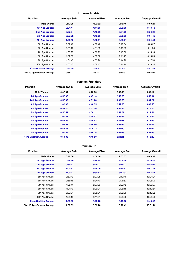## **Ironman Austria**

| <b>Position</b>               | <b>Average Swim</b> | <b>Average Bike</b> | <b>Average Run</b> | <b>Average Overall</b> |
|-------------------------------|---------------------|---------------------|--------------------|------------------------|
| <b>Male Winner</b>            | 0:47:35             | 4:22:02             | 2:46:46            | 8:00:21                |
| <b>1st Age Grouper</b>        | 0:54:44             | 4:44:55             | 3:02:58            | 8:48:18                |
| <b>2nd Age Grouper</b>        | 0:57:04             | 4:48:36             | 3:04:26            | 8:56:21                |
| 3rd Age Grouper               | 0:57:22             | 4:49:25             | 3:08:25            | 9:01:46                |
| 4th Age Grouper               | 1:00:46             | 4:52:51             | 3:05:21            | 9:04:53                |
| 5th Age Grouper               | 0:57:46             | 4:53:40             | 3:10:54            | 9:08:27                |
| 6th Age Grouper               | 0:59:12             | 4:51:39             | 3:13:29            | 9:11:36                |
| 7th Age Grouper               | 1:00:23             | 4:53:29             | 3:15:08            | 9:15:14                |
| 8th Age Grouper               | 1:02:08             | 4:55:30             | 3:11:49            | 9:16:24                |
| 9th Age Grouper               | 1:01:43             | 4:55:26             | 3:14:28            | 9:17:58                |
| 10th Age Grouper              | 1:00:45             | 4:56:43             | 3:14:14            | 9:19:14                |
| <b>Kona Qualifier Average</b> | 0:57:29             | 4:48:57             | 3:05:17            | 8:57:49                |
| Top 10 Age Grouper Average    | 0:59:11             | 4:52:13             | 3:10:07            | 9:08:01                |

#### **Ironman Frankfurt**

| <b>Position</b>               | <b>Average Swim</b> | <b>Average Bike</b> | <b>Average Run</b> | <b>Average Overall</b> |
|-------------------------------|---------------------|---------------------|--------------------|------------------------|
| <b>Male Winner</b>            | 0:47:34             | 4:23:50             | 2:50:18            | 8:05:14                |
| <b>1st Age Grouper</b>        | 0:57:06             | 4:47:13             | 2:50:53            | 8:56:34                |
| 2nd Age Grouper               | 0:57:32             | 4:51:28             | 3:35:36            | 9:04:21                |
| 3rd Age Grouper               | 1:02:35             | 4:48:55             | 2:54:26            | 9:08:50                |
| <b>4th Age Grouper</b>        | 0:58:20             | 4:52:56             | 3:38:18            | 9:11:20                |
| 5th Age Grouper               | 0:57:51             | 4:56:12             | 2:59:01            | 9:14:54                |
| <b>6th Age Grouper</b>        | 1:01:31             | 4:54:57             | 2:57:32            | 9:16:25                |
| <b>7th Age Grouper</b>        | 0:54:29             | 4:30:03             | 3:46:48            | 9:18:39                |
| <b>8th Age Grouper</b>        | 1:00:01             | 4:56:40             | 3:01:42            | 9:21:06                |
| 9th Age Grouper               | 0:59:33             | 4:29:22             | 3:04:40            | 9:21:44                |
| 10th Age Grouper              | 1:01:29             | 4:55:35             | 3:02:56            | 9:22:49                |
| <b>Kona Qualifier Average</b> | 0:59:03             | 4:48:20             | 3:11:11            | 9:13:40                |

## **Ironman UK**

| <b>Position</b>               | <b>Average Swim</b> | <b>Average Bike</b> | <b>Average Run</b> | <b>Average Overall</b> |
|-------------------------------|---------------------|---------------------|--------------------|------------------------|
| <b>Male Winner</b>            | 0:47:06             | 4:58:56             | 2:53:37            | 8:43:35                |
| <b>1st Age Grouper</b>        | 0:59:50             | 5:18:58             | 3:05:40            | 9:30:40                |
| 2nd Age Grouper               | 0:59:12             | 5:26:21             | 3:14:27            | 9:46:01                |
| <b>3rd Age Grouper</b>        | 1:00:31             | 5:29:20             | 3:14:51            | 9:51:35                |
| 4th Age Grouper               | 1:00:47             | 5:30:52             | 3:17:32            | 9:55:53                |
| 5th Age Grouper               | 0:57:42             | 5:37:05             | 3:19:46            | 10:01:04               |
| 6th Age Grouper               | 0:58:18             | 5:34:42             | 3:25:53            | 10:05:20               |
| 7th Age Grouper               | 1:02:11             | 5:37:03             | 3:23:42            | 10:09:37               |
| 8th Age Grouper               | 1:01:40             | 5:39:34             | 3:25:18            | 10:13:54               |
| 9th Age Grouper               | 0:59:04             | 5:38:51             | 3:32:00            | 10:17:22               |
| 10th Age Grouper              | 1:02:13             | 5:41:51             | 3:29:00            | 10:22:29               |
| <b>Kona Qualifier Average</b> | 1:00:05             | 5:26:23             | 3:13:08            | 9:46:02                |
| Top 10 Age Grouper Average    | 1:00:09             | 5:33:28             | 3:20:49            | 10:01:23               |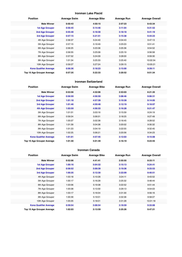## **Ironman Lake Placid**

| <b>Position</b>               | <b>Average Swim</b> | <b>Average Bike</b> | <b>Average Run</b> | <b>Average Overall</b> |
|-------------------------------|---------------------|---------------------|--------------------|------------------------|
| <b>Male Winner</b>            | 0:50:43             | 4:50:15             | 2:57:23            | 8:43:34                |
| <b>1st Age Grouper</b>        | 0:56:45             | 5:14:46             | 3:11:04            | 9:31:52                |
| <b>2nd Age Grouper</b>        | 0:55:48             | 5:18:30             | 3:18:18            | 9:41:19                |
| 3rd Age Grouper               | 0:57:15             | 5:21:51             | 3:15:38            | 9:44:23                |
| 4th Age Grouper               | 0:56:37             | 5:24:40             | 3:04:43            | 9:47:13                |
| 5th Age Grouper               | 0:57:15             | 5:19:49             | 3:25:03            | 9:51:41                |
| 6th Age Grouper               | 0:56:25             | 5:23:36             | 3:25:36            | 9:54:52                |
| 7th Age Grouper               | 0:56:55             | 5:25:08             | 3:25:19            | 9:56:58                |
| 8th Age Grouper               | 0:57:52             | 5:24:09             | 3:28:00            | 9:59:30                |
| 9th Age Grouper               | 1:01:34             | 5:25:33             | 3:25:40            | 10:02:34               |
| 10th Age Grouper              | 0:59:27             | 5:27:24             | 3:29:15            | 10:05:21               |
| <b>Kona Qualifier Average</b> | 0:56:36             | 5:18:23             | 3:15:00            | 9:39:11                |
| Top 10 Age Grouper Average    | 0:57:35             | 5:22:33             | 3:20:52            | 9:51:34                |

#### **Ironman Switzerland**

| <b>Position</b>                   | <b>Average Swim</b> | <b>Average Bike</b> | <b>Average Run</b> | <b>Average Overall</b> |
|-----------------------------------|---------------------|---------------------|--------------------|------------------------|
| <b>Male Winner</b>                | 0:53:56             | 4:32:06             | 2:53:03            | 8:21:35                |
| <b>1st Age Grouper</b>            | 0:56:59             | 4:56:59             | 3:08:46            | 9:06:31                |
| 2nd Age Grouper                   | 1:01:18             | 4:57:39             | 3:10:39            | 9:14:05                |
| 3rd Age Grouper                   | 1:01:46             | 4:59:48             | 3:12:19            | 9:18:07                |
| 4th Age Grouper                   | 1:03:59             | 4:56:33             | 3:16:28            | 9:21:47                |
| 5th Age Grouper                   | 1:01:01             | 5:03:16             | 3:15:59            | 9:24:19                |
| 6th Age Grouper                   | 0:59:24             | 5:06:01             | 3:18:25            | 9:27:49                |
| 7th Age Grouper                   | 1:05:07             | 5:02:38             | 3:16:45            | 9:28:52                |
| 8th Age Grouper                   | 1:01:39             | 5:04:36             | 3:20:02            | 9:30:32                |
| 9th Age Grouper                   | 1:01:23             | 5:04:19             | 3:22:55            | 9:32:45                |
| 10th Age Grouper                  | 1:02:25             | 5:06:21             | 3:20:56            | 9:34:23                |
| <b>Kona Qualifier Average</b>     | 1:01:01             | 4:57:45             | 3:12:03            | 9:15:08                |
| <b>Top 10 Age Grouper Average</b> | 1:01:30             | 5:01:49             | 3:16:19            | 9:23:55                |

#### **Ironman Canada**

| <b>Position</b>               | <b>Average Swim</b> | <b>Average Bike</b> | <b>Average Run</b> | <b>Average Overall</b> |
|-------------------------------|---------------------|---------------------|--------------------|------------------------|
| <b>Male Winner</b>            | 0:52:06             | 4:41:41             | 2:55:55            | 8:33:11                |
| 1st Age Grouper               | 1:00:16             | 5:04:32             | 3:15:13            | 9:24:41                |
| 2nd Age Grouper               | 0:58:52             | 5:09:39             | 3:19:36            | 9:33:53                |
| 3rd Age Grouper               | 1:00:35             | 5:12:30             | 3:22:09            | 9:40:51                |
| 4th Age Grouper               | 1:03:18             | 5:10:28             | 3:24:11            | 9:43:52                |
| 5th Age Grouper               | 1:00:17             | 5:16:28             | 3:25:32            | 9:48:44                |
| 6th Age Grouper               | 1:03:06             | 5:19:38             | 3:22:52            | 9:51:44                |
| 7th Age Grouper               | 1:05:08             | 5:13:30             | 3:29:13            | 9:54:03                |
| 8th Age Grouper               | 1:03:17             | 5:16:04             | 3:31:30            | 9:56:16                |
| 9th Age Grouper               | 1:00:39             | 5:19:01             | 3:32:36            | 9:58:07                |
| 10th Age Grouper              | 1:05:05             | 5:18:01             | 3:31:28            | 10:01:18               |
| <b>Kona Qualifier Average</b> | 0:59:54             | 5:08:54             | 3:18:59            | 9:33:08                |
| Top 10 Age Grouper Average    | 1:02:03             | 5:13:59             | 3:25:26            | 9:47:21                |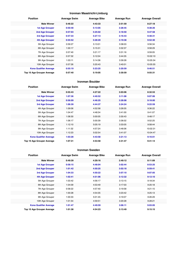## **Ironman Maastricht-Limburg**

| <b>Position</b>               | <b>Average Swim</b> | <b>Average Bike</b> | <b>Average Run</b> | <b>Average Overall</b> |
|-------------------------------|---------------------|---------------------|--------------------|------------------------|
| <b>Male Winner</b>            | 0:46:22             | 4:43:33             | 2:51:59            | 8:27:18                |
| <b>1st Age Grouper</b>        | 0:50:48             | 5:13:05             | 3:28:45            | 9:38:26                |
| 2nd Age Grouper               | 0:57:03             | 5:25:02             | 3:18:50            | 9:47:58                |
| <b>3rd Age Grouper</b>        | 0:57:33             | 5:27:13             | 3:16:43            | 9:48:31                |
| 4th Age Grouper               | 0:55:52             | 5:28:20             | 3:19:38            | 9:52:30                |
| 5th Age Grouper               | 0:59:27             | 5:13:01             | 3:38:03            | 9:56:34                |
| 6th Age Grouper               | 1:00:17             | 5:15:31             | 3:32:37            | 9:58:29                |
| 7th Age Grouper               | 0:57:40             | 5:21:17             | 3:31:16            | 9:59:05                |
| 8th Age Grouper               | 0:57:32             | 5:12:04             | 3:44:35            | 10:02:10               |
| 9th Age Grouper               | 1:03:11             | 5:14:36             | 3:39:28            | 10:05:34               |
| 10th Age Grouper              | 0:57:26             | 5:20:43             | 3:40:01            | 10:05:55               |
| <b>Kona Qualifier Average</b> | 0:55:19             | 5:23:25             | 3:20:59            | 9:46:51                |
| Top 10 Age Grouper Average    | 0:57:40             | 5:19:05             | 3:30:59            | 9:55:31                |

#### **Ironman Boulder**

| <b>Position</b>                   | <b>Average Swim</b> | <b>Average Bike</b> | <b>Average Run</b> | <b>Average Overall</b> |
|-----------------------------------|---------------------|---------------------|--------------------|------------------------|
| <b>Male Winner</b>                | 0:55:43             | 4:27:22             | 3:03:06            | 8:32:53                |
| <b>1st Age Grouper</b>            | 1:07:36             | 4:40:52             | 3:11:08            | 9:07:06                |
| 2nd Age Grouper                   | 0:56:09             | 4:46:25             | 3:28:08            | 9:18:00                |
| 3rd Age Grouper                   | 1:06:39             | 4:44:37             | 3:24:24            | 9:22:59                |
| 4th Age Grouper                   | 1:09:06             | 4:52:58             | 3:26:05            | 9:36:22                |
| 5th Age Grouper                   | 1:04:47             | 4:48:34             | 3:41:00            | 9:41:07                |
| 6th Age Grouper                   | 1:08:30             | 5:00:05             | 3:30:43            | 9:48:17                |
| 7th Age Grouper                   | 1:06:17             | 5:00:39             | 3:36:02            | 9:52:25                |
| 8th Age Grouper                   | 1:12:10             | 5:05:19             | 3:33:05            | 9:58:44                |
| 9th Age Grouper                   | 1:11:32             | 4:57:24             | 3:46:06            | 10:02:31               |
| 10th Age Grouper                  | 1:12:23             | 5:02:54             | 3:41:07            | 10:04:47               |
| <b>Kona Qualifier Average</b>     | 1:03:28             | 4:43:58             | 3:21:13            | 9:16:01                |
| <b>Top 10 Age Grouper Average</b> | 1:07:31             | 4:53:58             | 3:31:47            | 9:41:14                |

#### **Ironman Sweden**

| <b>Position</b>               | <b>Average Swim</b> | <b>Average Bike</b> | <b>Average Run</b> | <b>Average Overall</b> |
|-------------------------------|---------------------|---------------------|--------------------|------------------------|
| <b>Male Winner</b>            | 0:49:39             | 4:29:16             | 2:49:12            | 8:11:09                |
| <b>1st Age Grouper</b>        | 0:58:15             | 4:48:04             | 3:02:44            | 8:53:25                |
| 2nd Age Grouper               | 1:01:42             | 4:50:25             | 3:02:18            | 8:59:41                |
| 3rd Age Grouper               | 1:04:33             | 4:50:22             | 3:07:10            | 9:07:05                |
| 4th Age Grouper               | 1:02:41             | 4:51:06             | 3:12:32            | 9:12:10                |
| 5th Age Grouper               | 1:03:42             | 4:56:17             | 3:13:15            | 9:18:34                |
| 6th Age Grouper               | 1:04:09             | 4:53:49             | 3:17:03            | 9:20:18                |
| 7th Age Grouper               | 0:58:22             | 4:57:40             | 3:19:58            | 9:21:15                |
| 8th Age Grouper               | 1:00:28             | 4:54:35             | 3:23:42            | 9:25:13                |
| 9th Age Grouper               | 1:00:33             | 5:01:45             | 3:19:07            | 9:26:29                |
| 10th Age Grouper              | 1:01:54             | 4:59:51             | 3:20:28            | 9:28:21                |
| <b>Kona Qualifier Average</b> | 1:01:47             | 4:49:59             | 3:06:11            | 9:03:05                |
| Top 10 Age Grouper Average    | 1:01:38             | 4:54:23             | 3:13:49            | 9:15:15                |